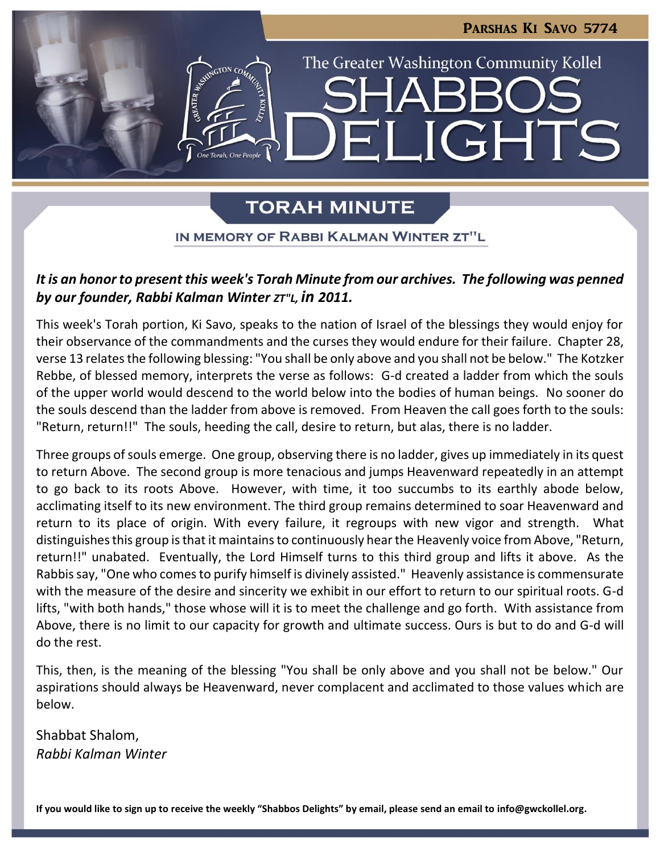

# **TORAH MINUTE**

IN MEMORY OF RABBI KALMAN WINTER ZT"L

# *It is an honor to present this week's Torah Minute from our archives. The following was penned by our founder, Rabbi Kalman Winter ZT"L, in 2011.*

This week's Torah portion, Ki Savo, speaks to the nation of Israel of the blessings they would enjoy for their observance of the commandments and the curses they would endure for their failure. Chapter 28, verse 13 relates the following blessing: "You shall be only above and you shall not be below." The Kotzker Rebbe, of blessed memory, interprets the verse as follows: G-d created a ladder from which the souls of the upper world would descend to the world below into the bodies of human beings. No sooner do the souls descend than the ladder from above is removed. From Heaven the call goes forth to the souls: "Return, return!!" The souls, heeding the call, desire to return, but alas, there is no ladder.

Three groups of souls emerge. One group, observing there is no ladder, gives up immediately in its quest to return Above. The second group is more tenacious and jumps Heavenward repeatedly in an attempt to go back to its roots Above. However, with time, it too succumbs to its earthly abode below, acclimating itself to its new environment. The third group remains determined to soar Heavenward and return to its place of origin. With every failure, it regroups with new vigor and strength. What distinguishes this group is that it maintains to continuously hear the Heavenly voice from Above, "Return, return!!" unabated. Eventually, the Lord Himself turns to this third group and lifts it above. As the Rabbis say, "One who comes to purify himself is divinely assisted." Heavenly assistance is commensurate with the measure of the desire and sincerity we exhibit in our effort to return to our spiritual roots. G-d lifts, "with both hands," those whose will it is to meet the challenge and go forth. With assistance from Above, there is no limit to our capacity for growth and ultimate success. Ours is but to do and G-d will do the rest.

This, then, is the meaning of the blessing "You shall be only above and you shall not be below." Our aspirations should always be Heavenward, never complacent and acclimated to those values which are below.

Shabbat Shalom, *Rabbi Kalman Winter*

**If you would like to sign up to receive the weekly "Shabbos Delights" by email, please send an email to [info@gwckollel.org.](mailto:info@gwckollel.org)**